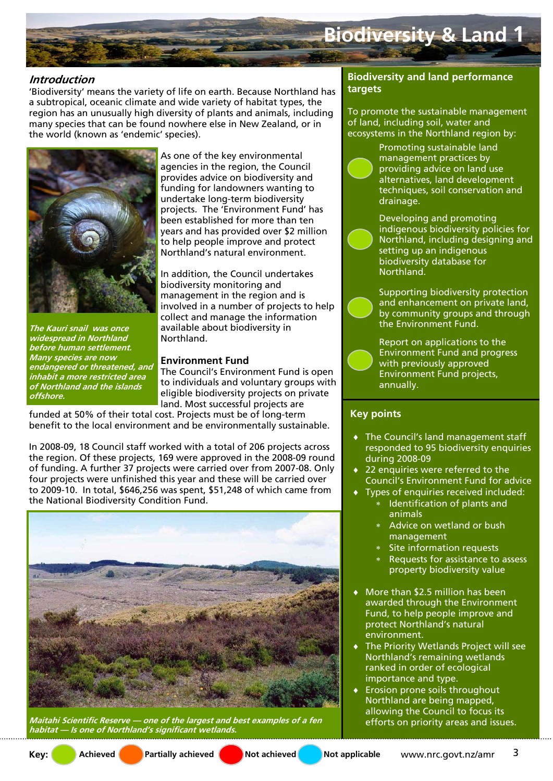

## **Introduction**

'Biodiversity' means the variety of life on earth. Because Northland has a subtropical, oceanic climate and wide variety of habitat types, the region has an unusually high diversity of plants and animals, including many species that can be found nowhere else in New Zealand, or in the world (known as 'endemic' species).



**The Kauri snail was once widespread in Northland before human settlement. Many species are now** 

**offshore.** 

**endangered or threatened, and inhabit a more restricted area of Northland and the islands** 

As one of the key environmental agencies in the region, the Council provides advice on biodiversity and funding for landowners wanting to undertake long-term biodiversity projects. The 'Environment Fund' has been established for more than ten years and has provided over \$2 million to help people improve and protect Northland's natural environment.

In addition, the Council undertakes biodiversity monitoring and management in the region and is involved in a number of projects to help collect and manage the information available about biodiversity in Northland.

#### **Environment Fund**

The Council's Environment Fund is open to individuals and voluntary groups with eligible biodiversity projects on private land. Most successful projects are

funded at 50% of their total cost. Projects must be of long-term benefit to the local environment and be environmentally sustainable.

In 2008-09, 18 Council staff worked with a total of 206 projects across the region. Of these projects, 169 were approved in the 2008-09 round of funding. A further 37 projects were carried over from 2007-08. Only four projects were unfinished this year and these will be carried over to 2009-10. In total, \$646,256 was spent, \$51,248 of which came from the National Biodiversity Condition Fund.



**Maitahi Scientific Reserve — one of the largest and best examples of a fen habitat — Is one of Northland's significant wetlands.** 

### **Biodiversity and land performance targets**

To promote the sustainable management of land, including soil, water and ecosystems in the Northland region by:

> Promoting sustainable land management practices by providing advice on land use alternatives, land development techniques, soil conservation and drainage.

Developing and promoting indigenous biodiversity policies for Northland, including designing and setting up an indigenous biodiversity database for Northland.

Supporting biodiversity protection and enhancement on private land, by community groups and through the Environment Fund.

Report on applications to the Environment Fund and progress with previously approved Environment Fund projects, annually.

#### **Key points**

- The Council's land management staff responded to 95 biodiversity enquiries during 2008-09
- 22 enquiries were referred to the Council's Environment Fund for advice
- Types of enquiries received included:
	- ∗ Identification of plants and animals
	- ∗ Advice on wetland or bush management
	- ∗ Site information requests
	- Requests for assistance to assess property biodiversity value
- More than \$2.5 million has been awarded through the Environment Fund, to help people improve and protect Northland's natural environment.
- The Priority Wetlands Project will see Northland's remaining wetlands ranked in order of ecological importance and type.
- Erosion prone soils throughout Northland are being mapped, allowing the Council to focus its efforts on priority areas and issues.

Key: **Achieved Partially achieved Not achieved** Not achieved Not applicable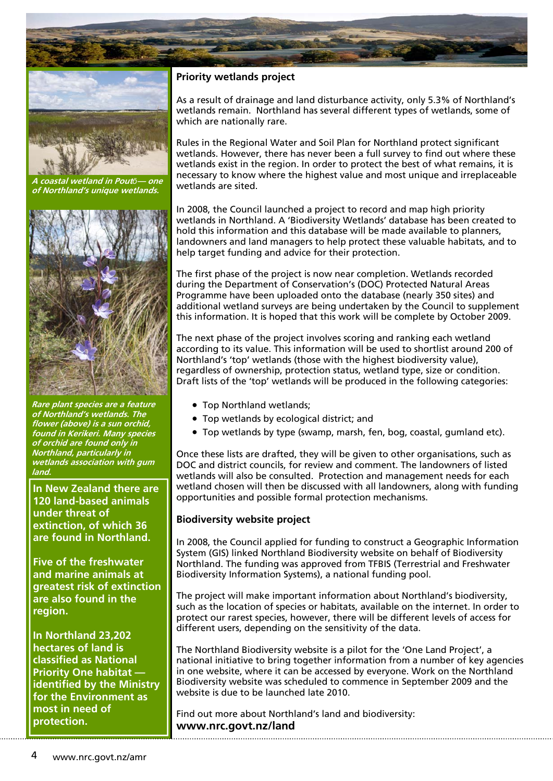



**A coastal wetland in Pout***ō***— one of Northland's unique wetlands.** 



**Rare plant species are a feature of Northland's wetlands. The flower (above) is a sun orchid, found in Kerikeri. Many species of orchid are found only in Northland, particularly in wetlands association with gum land.** 

**In New Zealand there are 120 land-based animals under threat of extinction, of which 36 are found in Northland.** 

**Five of the freshwater and marine animals at greatest risk of extinction are also found in the region.** 

**In Northland 23,202 hectares of land is classified as National Priority One habitat identified by the Ministry for the Environment as most in need of protection.** 

## **Priority wetlands project**

As a result of drainage and land disturbance activity, only 5.3% of Northland's wetlands remain. Northland has several different types of wetlands, some of which are nationally rare.

Rules in the Regional Water and Soil Plan for Northland protect significant wetlands. However, there has never been a full survey to find out where these wetlands exist in the region. In order to protect the best of what remains, it is necessary to know where the highest value and most unique and irreplaceable wetlands are sited.

In 2008, the Council launched a project to record and map high priority wetlands in Northland. A 'Biodiversity Wetlands' database has been created to hold this information and this database will be made available to planners, landowners and land managers to help protect these valuable habitats, and to help target funding and advice for their protection.

The first phase of the project is now near completion. Wetlands recorded during the Department of Conservation's (DOC) Protected Natural Areas Programme have been uploaded onto the database (nearly 350 sites) and additional wetland surveys are being undertaken by the Council to supplement this information. It is hoped that this work will be complete by October 2009.

The next phase of the project involves scoring and ranking each wetland according to its value. This information will be used to shortlist around 200 of Northland's 'top' wetlands (those with the highest biodiversity value), regardless of ownership, protection status, wetland type, size or condition. Draft lists of the 'top' wetlands will be produced in the following categories:

- Top Northland wetlands;
- Top wetlands by ecological district; and
- Top wetlands by type (swamp, marsh, fen, bog, coastal, gumland etc).

Once these lists are drafted, they will be given to other organisations, such as DOC and district councils, for review and comment. The landowners of listed wetlands will also be consulted. Protection and management needs for each wetland chosen will then be discussed with all landowners, along with funding opportunities and possible formal protection mechanisms.

#### **Biodiversity website project**

In 2008, the Council applied for funding to construct a Geographic Information System (GIS) linked Northland Biodiversity website on behalf of Biodiversity Northland. The funding was approved from TFBIS (Terrestrial and Freshwater Biodiversity Information Systems), a national funding pool.

The project will make important information about Northland's biodiversity, such as the location of species or habitats, available on the internet. In order to protect our rarest species, however, there will be different levels of access for different users, depending on the sensitivity of the data.

The Northland Biodiversity website is a pilot for the 'One Land Project', a national initiative to bring together information from a number of key agencies in one website, where it can be accessed by everyone. Work on the Northland Biodiversity website was scheduled to commence in September 2009 and the website is due to be launched late 2010.

Find out more about Northland's land and biodiversity: **www.nrc.govt.nz/land**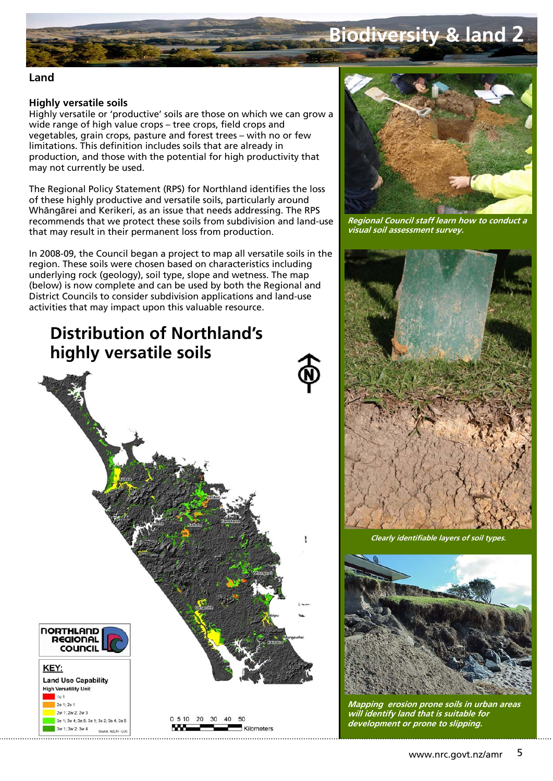# **Biodiversity & land 2**

#### **Land**

#### **Highly versatile soils**

Highly versatile or 'productive' soils are those on which we can grow a wide range of high value crops – tree crops, field crops and vegetables, grain crops, pasture and forest trees – with no or few limitations. This definition includes soils that are already in production, and those with the potential for high productivity that may not currently be used.

The Regional Policy Statement (RPS) for Northland identifies the loss of these highly productive and versatile soils, particularly around Whāngārei and Kerikeri, as an issue that needs addressing. The RPS recommends that we protect these soils from subdivision and land-use that may result in their permanent loss from production.

In 2008-09, the Council began a project to map all versatile soils in the region. These soils were chosen based on characteristics including underlying rock (geology), soil type, slope and wetness. The map (below) is now complete and can be used by both the Regional and District Councils to consider subdivision applications and land-use activities that may impact upon this valuable resource.





**Regional Council staff learn how to conduct a visual soil assessment survey.** 



**Clearly identifiable layers of soil types.** 



**Mapping erosion prone soils in urban areas will identify land that is suitable for development or prone to slipping.**